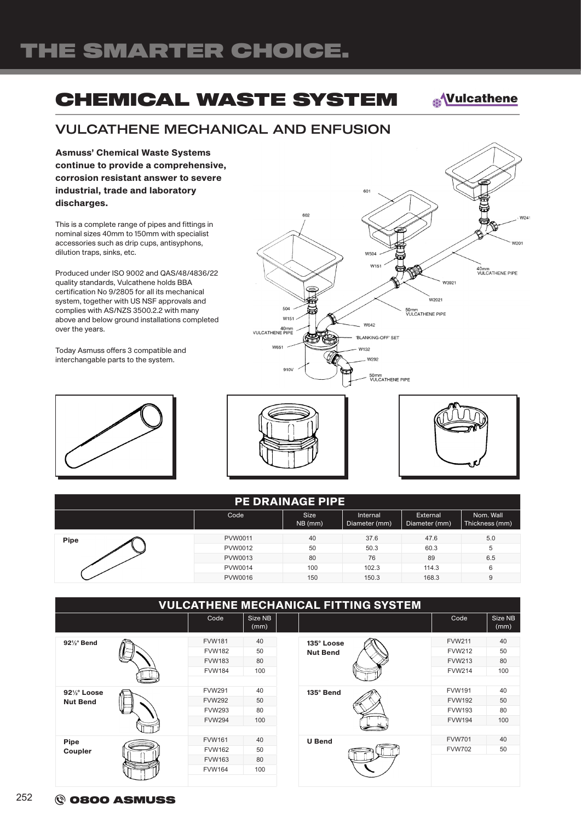# THE SMARTER CHOICE.

### CHEMICAL WASTE SYSTEM

**<u>AVulcathene</u>** 

W241

w<sub>201</sub>

40mm<br>VULCATHENE PIPE

#### VULCATHENE MECHANICAL AND ENFUSION

Asmuss' Chemical Waste Systems continue to provide a comprehensive, corrosion resistant answer to severe industrial, trade and laboratory discharges.

This is a complete range of pipes and fittings in nominal sizes 40mm to 150mm with specialist accessories such as drip cups, antisyphons, dilution traps, sinks, etc.

Produced under ISO 9002 and QAS/48/4836/22 quality standards, Vulcathene holds BBA certification No 9/2805 for all its mechanical system, together with US NSF approvals and complies with AS/NZS 3500.2.2 with many above and below ground installations completed over the years.

Today Asmuss offers 3 compatible and interchangable parts to the system.





 $50$ 

 $W15$ 

910V

40mm<br>VULCATHENE PIPE

**W651** 

 $60^{\circ}$ 

W<sub>504</sub>  $W15$ 

W642

W132 W292

'BLANKING-OFF' SET

50mm<br>VULCATHENE PIPE



.<br>W392

.<br>W2021

50mm<br>VULCATHENE PIPE

|             |         | <b>PE DRAINAGE PIPE</b>  |                           |                           |                             |
|-------------|---------|--------------------------|---------------------------|---------------------------|-----------------------------|
|             | Code    | <b>Size</b><br>$NB$ (mm) | Internal<br>Diameter (mm) | External<br>Diameter (mm) | Nom. Wall<br>Thickness (mm) |
| <b>Pipe</b> | PVW0011 | 40                       | 37.6                      | 47.6                      | 5.0                         |
|             | PVW0012 | 50                       | 50.3                      | 60.3                      | 5                           |
|             | PVW0013 | 80                       | 76                        | 89                        | 6.5                         |
|             | PVW0014 | 100                      | 102.3                     | 114.3                     | 6                           |
|             | PVW0016 | 150                      | 150.3                     | 168.3                     | 9                           |

|                        |               |                 | <b>VULCATHENE MECHANICAL FITTING SYSTEM</b> |               |                 |
|------------------------|---------------|-----------------|---------------------------------------------|---------------|-----------------|
|                        | Code          | Size NB<br>(mm) |                                             | Code          | Size NB<br>(mm) |
| $92\frac{1}{2}$ ° Bend | <b>FVW181</b> | 40              | 135° Loose                                  | <b>FVW211</b> | 40              |
|                        | <b>FVW182</b> | 50              | <b>Nut Bend</b>                             | <b>FVW212</b> | 50              |
|                        | <b>FVW183</b> | 80              |                                             | <b>FVW213</b> | 80              |
|                        | <b>FVW184</b> | 100             |                                             | <b>FVW214</b> | 100             |
|                        |               |                 |                                             |               |                 |
| 921/2° Loose           | <b>FVW291</b> | 40              | 135° Bend                                   | <b>FVW191</b> | 40              |
| <b>Nut Bend</b>        | <b>FVW292</b> | 50              |                                             | <b>FVW192</b> | 50              |
|                        | <b>FVW293</b> | 80              |                                             | <b>FVW193</b> | 80              |
|                        | <b>FVW294</b> | 100             |                                             | <b>FVW194</b> | 100             |
|                        |               |                 |                                             |               |                 |
| <b>Pipe</b>            | <b>FVW161</b> | 40              | <b>U</b> Bend                               | <b>FVW701</b> | 40              |
| Coupler                | <b>FVW162</b> | 50              |                                             | <b>FVW702</b> | 50              |
|                        | <b>FVW163</b> | 80              |                                             |               |                 |
|                        | <b>FVW164</b> | 100             |                                             |               |                 |
|                        |               |                 |                                             |               |                 |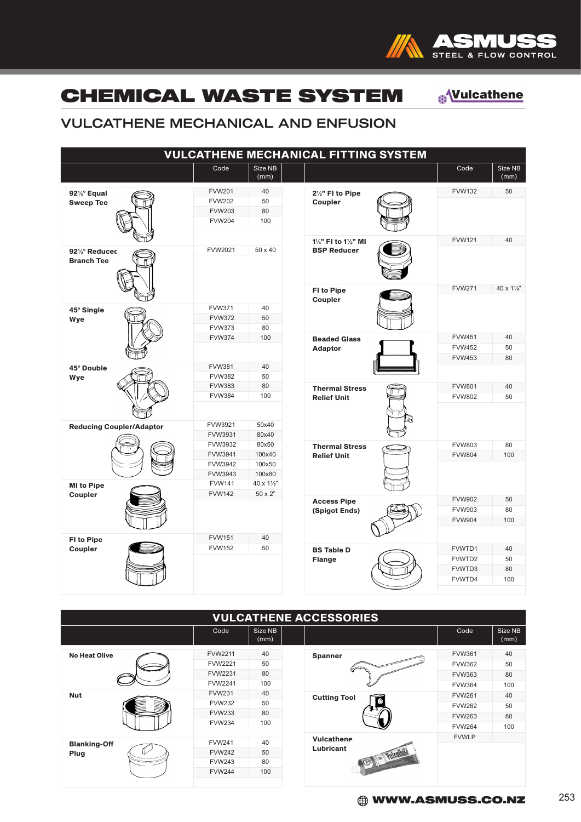

### CHEMICAL WASTE SYSTEM

**<u><sup><sup></sub></sup>Vulcathene</sub>**</u></sup>

### VULCATHENE MECHANICAL AND ENFUSION

|                                  |                                |                 | <b>VULCATHENE MECHANICAL FITTING SYSTEM</b> |               |                 |
|----------------------------------|--------------------------------|-----------------|---------------------------------------------|---------------|-----------------|
|                                  | Code                           | Size NB<br>(mm) |                                             | Code          | Size NB<br>(mm) |
| 921/2° Equal<br><b>Sweep Tee</b> | <b>FVW201</b>                  | 40              | 21/2" FI to Pipe                            | <b>FVW132</b> | 50              |
|                                  | <b>FVW202</b>                  | 50              | Coupler                                     |               |                 |
|                                  | <b>FVW203</b>                  | 80              |                                             |               |                 |
|                                  | <b>FVW204</b>                  | 100             |                                             |               |                 |
|                                  |                                |                 | 11/4" FI to 11/2" MI                        | <b>FVW121</b> | 40              |
| 921/2° Reduced                   | FVW2021                        | 50 x 40         | <b>BSP Reducer</b>                          |               |                 |
| <b>Branch Tee</b>                |                                |                 |                                             |               |                 |
|                                  |                                |                 | FI to Pipe<br>Coupler                       | <b>FVW271</b> | 40 x 11/4"      |
| 45° Single                       | <b>FVW371</b>                  | 40              |                                             |               |                 |
| Wye                              | <b>FVW372</b>                  | 50              |                                             |               |                 |
|                                  | <b>FVW373</b>                  | 80              |                                             |               |                 |
|                                  | <b>FVW374</b>                  | 100             | <b>Beaded Glass</b>                         | <b>FVW451</b> | 40              |
|                                  |                                |                 | <b>Adaptor</b>                              | <b>FVW452</b> | 50              |
|                                  |                                |                 |                                             | <b>FVW453</b> | 80              |
| 45° Double                       | <b>FVW381</b><br><b>FVW382</b> | 40<br>50        |                                             |               |                 |
| Wye                              | <b>FVW383</b>                  | 80              | <b>Thermal Stress</b>                       | <b>FVW801</b> | 40              |
|                                  | <b>FVW384</b>                  | 100             | <b>Relief Unit</b>                          | <b>FVW802</b> | 50              |
|                                  |                                |                 |                                             |               |                 |
| <b>Reducing Coupler/Adaptor</b>  | FVW3921                        | 50x40           |                                             |               |                 |
|                                  | FVW3931                        | 80x40           |                                             |               |                 |
|                                  | FVW3932                        | 80x50           | <b>Thermal Stress</b>                       | <b>FVW803</b> | 80              |
|                                  | FVW3941                        | 100x40          | <b>Relief Unit</b>                          | <b>FVW804</b> | 100             |
|                                  | FVW3942                        | 100x50          |                                             |               |                 |
|                                  | FVW3943                        | 100x80          |                                             |               |                 |
| <b>MI</b> to Pipe                | <b>FVW141</b>                  | 40 x 11/2"      |                                             |               |                 |
| Coupler                          | <b>FVW142</b>                  | 50 x 2"         | <b>Access Pipe</b>                          | <b>FVW902</b> | 50              |
|                                  |                                |                 | (Spigot Ends)                               | <b>FVW903</b> | 80              |
|                                  |                                |                 |                                             | <b>FVW904</b> | 100             |
|                                  |                                |                 |                                             |               |                 |
| <b>FI to Pipe</b>                | <b>FVW151</b>                  | 40              |                                             |               |                 |
| Coupler                          | <b>FVW152</b>                  | 50              | <b>BS Table D</b>                           | FVWTD1        | 40              |
|                                  |                                |                 | Flange                                      | FVWTD2        | 50              |
|                                  |                                |                 |                                             | FVWTD3        | 80              |
|                                  |                                |                 |                                             | FVWTD4        | 100             |
|                                  |                                |                 |                                             |               |                 |

| <b>VULCATHENE ACCESSORIES</b> |                |                 |                     |               |                 |  |  |  |
|-------------------------------|----------------|-----------------|---------------------|---------------|-----------------|--|--|--|
|                               | Code           | Size NB<br>(mm) |                     | Code          | Size NB<br>(mm) |  |  |  |
| <b>No Heat Olive</b>          | <b>FVW2211</b> | 40              | <b>Spanner</b>      | <b>FVW361</b> | 40              |  |  |  |
|                               | <b>FVW2221</b> | 50              |                     | <b>FVW362</b> | 50              |  |  |  |
|                               | FVW2231        | 80              |                     | <b>FVW363</b> | 80              |  |  |  |
|                               | <b>FVW2241</b> | 100             |                     | <b>FVW364</b> | 100             |  |  |  |
| <b>Nut</b>                    | <b>FVW231</b>  | 40              | <b>Cutting Tool</b> | <b>FVW261</b> | 40              |  |  |  |
|                               | <b>FVW232</b>  | 50              |                     | <b>FVW262</b> | 50              |  |  |  |
|                               | <b>FVW233</b>  | 80              |                     | <b>FVW263</b> | 80              |  |  |  |
|                               | <b>FVW234</b>  | 100             |                     | <b>FVW264</b> | 100             |  |  |  |
|                               |                |                 | <b>Vulcathene</b>   | <b>FVWLP</b>  |                 |  |  |  |
| <b>Blanking-Off</b>           | <b>FVW241</b>  | 40              | Lubricant           |               |                 |  |  |  |
| Plug                          | <b>FVW242</b>  | 50              | Valledhane          |               |                 |  |  |  |
|                               | <b>FVW243</b>  | 80              |                     |               |                 |  |  |  |
|                               | <b>FVW244</b>  | 100             |                     |               |                 |  |  |  |
|                               |                |                 |                     |               |                 |  |  |  |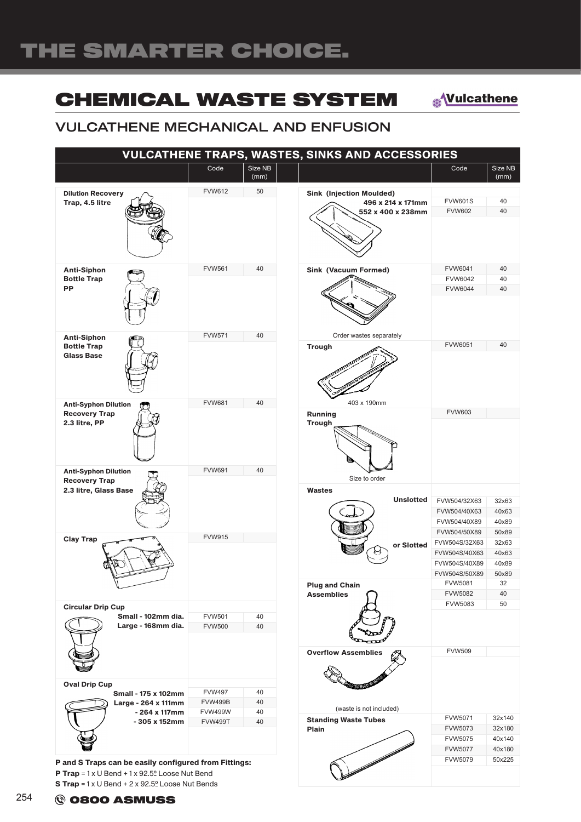### CHEMICAL WASTE SYSTEM

**<u><sup><sup></sub></sup>Vulcathene</mark>**</u></sup>

### VULCATHENE MECHANICAL AND ENFUSION

| <b>VULCATHENE TRAPS, WASTES, SINKS AND ACCESSORIES</b>                              |                                                   |                 |                                                                           |                                                                                             |                                                 |  |  |
|-------------------------------------------------------------------------------------|---------------------------------------------------|-----------------|---------------------------------------------------------------------------|---------------------------------------------------------------------------------------------|-------------------------------------------------|--|--|
|                                                                                     | Code                                              | Size NB<br>(mm) |                                                                           | Code                                                                                        | Size NB<br>(mm)                                 |  |  |
| <b>Dilution Recovery</b><br>Trap, 4.5 litre                                         | <b>FVW612</b>                                     | 50              | <b>Sink (Injection Moulded)</b><br>496 x 214 x 171mm<br>552 x 400 x 238mm | <b>FVW601S</b><br><b>FVW602</b>                                                             | 40<br>40                                        |  |  |
| <b>Anti-Siphon</b><br><b>Bottle Trap</b><br><b>PP</b>                               | <b>FVW561</b>                                     | 40              | <b>Sink (Vacuum Formed)</b>                                               | FVW6041<br><b>FVW6042</b><br><b>FVW6044</b>                                                 | 40<br>40<br>40                                  |  |  |
| <b>Anti-Siphon</b><br><b>Bottle Trap</b><br><b>Glass Base</b>                       | <b>FVW571</b>                                     | 40              | Order wastes separately<br><b>Trough</b>                                  | FVW6051                                                                                     | 40                                              |  |  |
| <b>Anti-Syphon Dilution</b><br><b>Recovery Trap</b><br>2.3 litre, PP                | <b>FVW681</b>                                     | 40              | 403 x 190mm<br>Running<br><b>Trough</b>                                   | <b>FVW603</b>                                                                               |                                                 |  |  |
| <b>Anti-Syphon Dilution</b><br><b>Recovery Trap</b><br>2.3 litre, Glass Base        | <b>FVW691</b>                                     | 40              | Size to order<br><b>Wastes</b><br><b>Unslotted</b>                        | FVW504/32X63<br>FVW504/40X63<br>FVW504/40X89                                                | 32x63<br>40x63<br>40x89                         |  |  |
| <b>Clay Trap</b>                                                                    | <b>FVW915</b>                                     |                 | or Slotted<br><b>Plug and Chain</b>                                       | FVW504/50X89<br>FVW504S/32X63<br>FVW504S/40X63<br>FVW504S/40X89<br>FVW504S/50X89<br>FVW5081 | 50x89<br>32x63<br>40x63<br>40x89<br>50x89<br>32 |  |  |
| <b>Circular Drip Cup</b><br>Small - 102mm dia.<br>Large - 168mm dia.                | <b>FVW501</b><br><b>FVW500</b>                    | 40<br>40        | <b>Assemblies</b>                                                         | <b>FVW5082</b><br>FVW5083                                                                   | 40<br>50                                        |  |  |
|                                                                                     |                                                   |                 | <b>Overflow Assemblies</b>                                                | <b>FVW509</b>                                                                               |                                                 |  |  |
| <b>Oval Drip Cup</b><br>Small - 175 x 102mm<br>Large - 264 x 111mm<br>- 264 x 117mm | <b>FVW497</b><br><b>FVW499B</b><br><b>FVW499W</b> | 40<br>40<br>40  | (waste is not included)                                                   |                                                                                             |                                                 |  |  |
| - 305 x 152mm                                                                       | <b>FVW499T</b>                                    | 40              | <b>Standing Waste Tubes</b><br>Plain                                      | FVW5071<br>FVW5073<br>FVW5075<br><b>FVW5077</b>                                             | 32x140<br>32x180<br>40x140<br>40x180            |  |  |
| P and S Traps can be easily configured from Fittings:                               |                                                   |                 |                                                                           | FVW5079                                                                                     | 50x225                                          |  |  |

P Trap = 1 x U Bend + 1 x 92.5º Loose Nut Bend S Trap = 1 x U Bend + 2 x 92.5º Loose Nut Bends